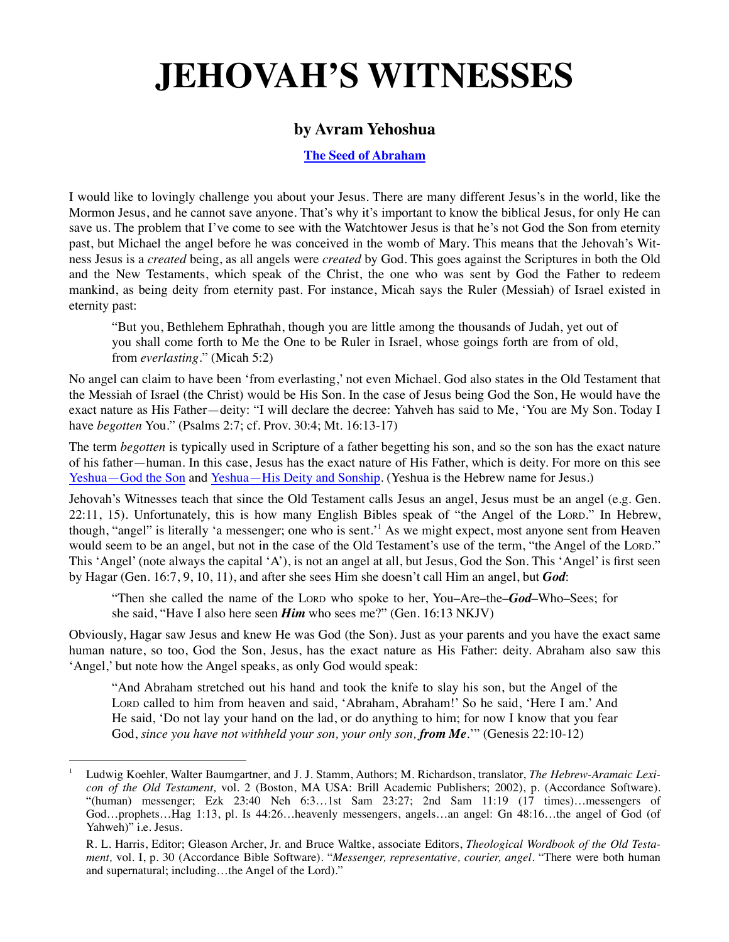## **JEHOVAH'S WITNESSES**

## **by Avram Yehoshua**

**[The Seed of Abraham](http://SeedofAbraham.net)**

I would like to lovingly challenge you about your Jesus. There are many different Jesus's in the world, like the Mormon Jesus, and he cannot save anyone. That's why it's important to know the biblical Jesus, for only He can save us. The problem that I've come to see with the Watchtower Jesus is that he's not God the Son from eternity past, but Michael the angel before he was conceived in the womb of Mary. This means that the Jehovah's Witness Jesus is a *created* being, as all angels were *created* by God. This goes against the Scriptures in both the Old and the New Testaments, which speak of the Christ, the one who was sent by God the Father to redeem mankind, as being deity from eternity past. For instance, Micah says the Ruler (Messiah) of Israel existed in eternity past:

"But you, Bethlehem Ephrathah, though you are little among the thousands of Judah, yet out of you shall come forth to Me the One to be Ruler in Israel, whose goings forth are from of old, from *everlasting*." (Micah 5:2)

No angel can claim to have been 'from everlasting,' not even Michael. God also states in the Old Testament that the Messiah of Israel (the Christ) would be His Son. In the case of Jesus being God the Son, He would have the exact nature as His Father—deity: "I will declare the decree: Yahveh has said to Me, 'You are My Son. Today I have *begotten* You." (Psalms 2:7; cf. Prov. 30:4; Mt. 16:13-17)

The term *begotten* is typically used in Scripture of a father begetting his son, and so the son has the exact nature of his father—human. In this case, Jesus has the exact nature of His Father, which is deity. For more on this see [Yeshua—God the Son](http://seedofabraham.net/Yeshua-God-the-Son.pdf) and [Yeshua—His Deity and Sonship](http://seedofabraham.net/Yeshua-His-Deity-and-Sonship.pdf). (Yeshua is the Hebrew name for Jesus.)

Jehovah's Witnesses teach that since the Old Testament calls Jesus an angel, Jesus must be an angel (e.g. Gen. 22:11, 15). Unfortunately, this is how many English Bibles speak of "the Angel of the LORD." In Hebrew, though, "angel" is literally 'a messenger; one who is sent.'<sup>1</sup> As we might expect, most anyone sent from Heaven would seem to be an angel, but not in the case of the Old Testament's use of the term, "the Angel of the LORD." This 'Angel' (note always the capital 'A'), is not an angel at all, but Jesus, God the Son. This 'Angel' is first seen by Hagar (Gen. 16:7, 9, 10, 11), and after she sees Him she doesn't call Him an angel, but *God*:

"Then she called the name of the LORD who spoke to her, You–Are–the–*God*–Who–Sees; for she said, "Have I also here seen *Him* who sees me?" (Gen. 16:13 NKJV)

Obviously, Hagar saw Jesus and knew He was God (the Son). Just as your parents and you have the exact same human nature, so too, God the Son, Jesus, has the exact nature as His Father: deity. Abraham also saw this 'Angel,' but note how the Angel speaks, as only God would speak:

"And Abraham stretched out his hand and took the knife to slay his son, but the Angel of the LORD called to him from heaven and said, 'Abraham, Abraham!' So he said, 'Here I am.' And He said, 'Do not lay your hand on the lad, or do anything to him; for now I know that you fear God, *since you have not withheld your son, your only son, from Me.*" (Genesis 22:10-12)

<sup>1</sup> Ludwig Koehler, Walter Baumgartner, and J. J. Stamm, Authors; M. Richardson, translator, *The Hebrew-Aramaic Lexicon of the Old Testament,* vol. 2 (Boston, MA USA: Brill Academic Publishers; 2002), p. (Accordance Software). "(human) messenger; Ezk 23:40 Neh 6:3…1st Sam 23:27; 2nd Sam 11:19 (17 times)…messengers of God…prophets…Hag 1:13, pl. Is 44:26…heavenly messengers, angels…an angel: Gn 48:16…the angel of God (of Yahweh)" i.e. Jesus.

R. L. Harris, Editor; Gleason Archer, Jr. and Bruce Waltke, associate Editors, *Theological Wordbook of the Old Testament,* vol. I, p. 30 (Accordance Bible Software). "*Messenger, representative, courier, angel.* "There were both human and supernatural; including…the Angel of the Lord)."